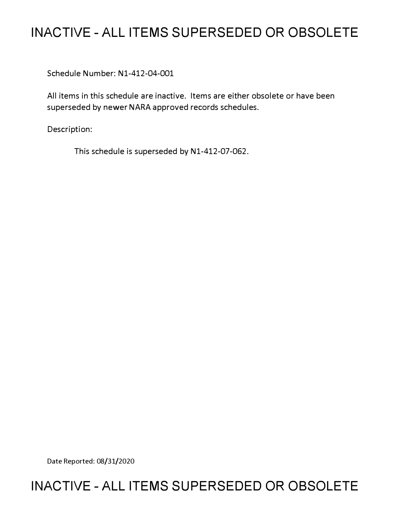# **INACTIVE - ALL ITEMS SUPERSEDED OR OBSOLETE**

Schedule Number: Nl-412-04-001

All items in this schedule are inactive. Items are either obsolete or have been superseded by newer NARA approved records schedules.

Description:

This schedule is superseded by Nl-412-07-062.

Date Reported: 08/31/2020

# **INACTIVE - ALL ITEMS SUPERSEDED OR OBSOLETE**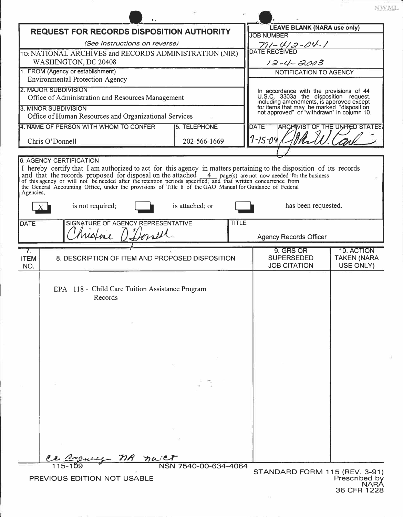| <b>REQUEST FOR RECORDS DISPOSITION AUTHORITY</b>                                                                                                                                                                                     |                                                 |                               | <b>LEAVE BLANK (NARA use only)</b>      |                                                                                                                                                                              |
|--------------------------------------------------------------------------------------------------------------------------------------------------------------------------------------------------------------------------------------|-------------------------------------------------|-------------------------------|-----------------------------------------|------------------------------------------------------------------------------------------------------------------------------------------------------------------------------|
| (See Instructions on reverse)                                                                                                                                                                                                        |                                                 |                               |                                         | <b>JOB NUMBER</b>                                                                                                                                                            |
| TO: NATIONAL ARCHIVES and RECORDS ADMINISTRATION (NIR)                                                                                                                                                                               |                                                 |                               |                                         | <u>– <i>MI – YI 2 – 04 – I</i><br/>DATE RECEIVED</u>                                                                                                                         |
| WASHINGTON, DC 20408                                                                                                                                                                                                                 |                                                 |                               | 12-4-2003                               |                                                                                                                                                                              |
| 1. FROM (Agency or establishment)                                                                                                                                                                                                    |                                                 |                               | NOTIFICATION TO AGENCY                  |                                                                                                                                                                              |
| <b>Environmental Protection Agency</b>                                                                                                                                                                                               |                                                 |                               |                                         |                                                                                                                                                                              |
| 2. MAJOR SUBDIVISION                                                                                                                                                                                                                 |                                                 |                               | In accordance with the provisions of 44 |                                                                                                                                                                              |
| Office of Administration and Resources Management                                                                                                                                                                                    |                                                 |                               |                                         | U.S.C. 3303a the disposition request,<br>including amendments, is approved except<br>for items that may be marked "disposition<br>not approved" or "withdrawn" in column 10. |
| 3. MINOR SUBDIVISION<br>Office of Human Resources and Organizational Services                                                                                                                                                        |                                                 |                               |                                         |                                                                                                                                                                              |
| 4. NAME OF PERSON WITH WHOM TO CONFER<br>5. TELEPHONE                                                                                                                                                                                |                                                 |                               |                                         | <b>ARCHIVIST OF THE UNITED STATES</b><br><b>DATE</b>                                                                                                                         |
|                                                                                                                                                                                                                                      |                                                 |                               |                                         |                                                                                                                                                                              |
| Chris O'Donnell                                                                                                                                                                                                                      |                                                 | $7 - 15 - 04$<br>202-566-1669 |                                         |                                                                                                                                                                              |
|                                                                                                                                                                                                                                      |                                                 |                               |                                         |                                                                                                                                                                              |
|                                                                                                                                                                                                                                      | <b>6. AGENCY CERTIFICATION</b>                  |                               |                                         |                                                                                                                                                                              |
| I hereby certify that I am authorized to act for this agency in matters pertaining to the disposition of its records                                                                                                                 |                                                 |                               |                                         |                                                                                                                                                                              |
| and that the records proposed for disposal on the attached 4 page(s) are not now needed for the business<br>of this agency or will not be needed after the retention periods specified; and that written concurrence from<br>the Gen |                                                 |                               |                                         |                                                                                                                                                                              |
| Agencies,                                                                                                                                                                                                                            |                                                 |                               |                                         |                                                                                                                                                                              |
|                                                                                                                                                                                                                                      | is not required;<br>$\mathbf{X}$                | is attached; or               |                                         | has been requested.                                                                                                                                                          |
|                                                                                                                                                                                                                                      |                                                 |                               |                                         |                                                                                                                                                                              |
| <b>DATE</b>                                                                                                                                                                                                                          | SIGNATURE OF AGENCY REPRESENTATIVE              |                               | <b>TITLE</b>                            |                                                                                                                                                                              |
|                                                                                                                                                                                                                                      | Mistrie D'Iterret                               |                               |                                         | <b>Agency Records Officer</b>                                                                                                                                                |
| $\overline{7}$ .                                                                                                                                                                                                                     |                                                 |                               |                                         | 9. GRS OR<br>10. ACTION                                                                                                                                                      |
| <b>ITEM</b>                                                                                                                                                                                                                          | 8. DESCRIPTION OF ITEM AND PROPOSED DISPOSITION |                               |                                         | <b>SUPERSEDED</b><br><b>TAKEN (NARA</b>                                                                                                                                      |
| NO.                                                                                                                                                                                                                                  |                                                 |                               |                                         | <b>JOB CITATION</b><br>USE ONLY)                                                                                                                                             |
|                                                                                                                                                                                                                                      |                                                 |                               |                                         |                                                                                                                                                                              |
| EPA 118 - Child Care Tuition Assistance Program                                                                                                                                                                                      |                                                 |                               |                                         |                                                                                                                                                                              |
|                                                                                                                                                                                                                                      | Records                                         |                               |                                         |                                                                                                                                                                              |
|                                                                                                                                                                                                                                      |                                                 |                               |                                         |                                                                                                                                                                              |
|                                                                                                                                                                                                                                      |                                                 |                               |                                         |                                                                                                                                                                              |
|                                                                                                                                                                                                                                      |                                                 |                               |                                         |                                                                                                                                                                              |
|                                                                                                                                                                                                                                      |                                                 |                               |                                         |                                                                                                                                                                              |
|                                                                                                                                                                                                                                      |                                                 |                               |                                         |                                                                                                                                                                              |
|                                                                                                                                                                                                                                      |                                                 |                               |                                         |                                                                                                                                                                              |
|                                                                                                                                                                                                                                      |                                                 |                               |                                         |                                                                                                                                                                              |
|                                                                                                                                                                                                                                      |                                                 |                               |                                         |                                                                                                                                                                              |
|                                                                                                                                                                                                                                      |                                                 |                               |                                         |                                                                                                                                                                              |
|                                                                                                                                                                                                                                      |                                                 |                               |                                         |                                                                                                                                                                              |
|                                                                                                                                                                                                                                      |                                                 |                               |                                         |                                                                                                                                                                              |
|                                                                                                                                                                                                                                      |                                                 |                               |                                         |                                                                                                                                                                              |
|                                                                                                                                                                                                                                      |                                                 |                               |                                         |                                                                                                                                                                              |
|                                                                                                                                                                                                                                      |                                                 |                               |                                         |                                                                                                                                                                              |
|                                                                                                                                                                                                                                      | nR                                              |                               |                                         |                                                                                                                                                                              |
|                                                                                                                                                                                                                                      |                                                 | NSN 7540-00-634-4064          |                                         | STANDARD FORM 115 (REV. 3-91)                                                                                                                                                |
| PREVIOUS EDITION NOT USABLE                                                                                                                                                                                                          |                                                 |                               |                                         | Prescribed by                                                                                                                                                                |
|                                                                                                                                                                                                                                      |                                                 |                               |                                         | <b>JARA</b><br>36 CFR 1228                                                                                                                                                   |

 $\ensuremath{\text{NWML}}$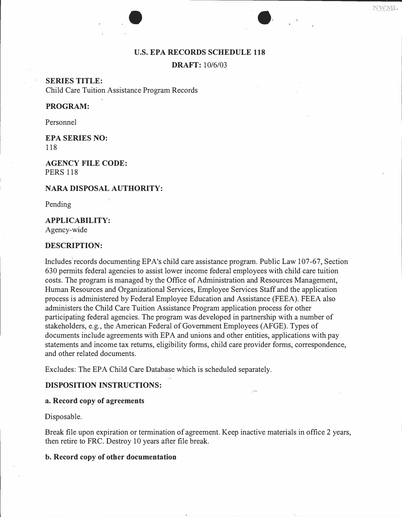#### **U.S. EPA RECORDS SCHEDULE 118**

 $\bullet$ 

**DRAFT:** 10/6/03

**SERIES TITLE:**  Child Care Tuition Assistance Program Records

## **PROGRAM:**

Personnel

**EPA SERIES NO:**  118

**AGENCY FILE CODE:**  PERS 118

#### **NARA DISPOSAL AUTHORITY:**

Pending

#### **APPLICABILITY:**

Agency-wide

## **DESCRIPTION:**

Includes'records documenting EPA's child care assistance program. Public Law 107-67, Section 630 permits federal agencies to assist lower income federal employees with child care tuition costs. The program is managed by the Office of Administration and Resources Management, Human Resources and Organizational Services, Employee Services Staff and the application process is administered by Federal Employee Education and Assistance (FEEA). FEEA also administers the Child Care Tuition Assistance Program application process for other participating federal agencies. The program was developed in partnership with a number of stakeholders, e.g., the American Federal of Government Employees (AFGE). Types of documents include agreements with EPA and unions and other entities, applications with pay statements and income tax returns, eligibility forms, child care provider forms, correspondence, and other related documents.

Excludes: The EPA Child Care Database which is scheduled separately.

## **DISPOSITION INSTRUCTIONS:**

#### **a. Record copy of agreements**

Disposable.

Break file upon expiration or termination of agreement. Keep inactive materials in office 2 years, then retire to FRC. Destroy 10 years after file break.

#### **b. Record copy of other documentation**

NWML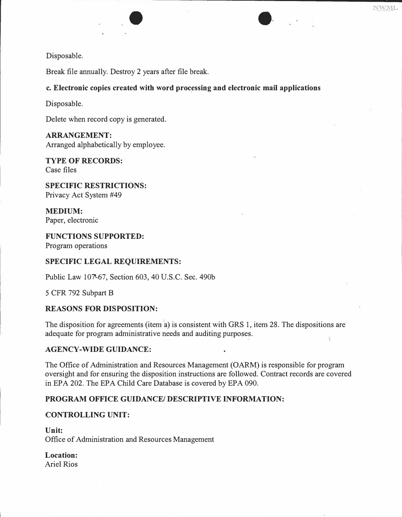

Break file annually. Destroy 2 years after file break.

### c. Electronic copies created with word processing and electronic mail applications

 $\bullet$ 

Disposable.

Delete when record copy is generated.

#### **ARRANGEMENT:**

Arranged alphabetically by employee.

**TYPE OF RECORDS:**  Case files

**SPECIFIC RESTRICTIONS:**  Privacy Act System #49

**MEDIUM:**  Paper, electronic

**FUNCTIONS SUPPORTED:**  Program operations

#### **SPECIFIC LEGAL REQUIREMENTS:**

Public Law 10?-67, Section 603, 40 U.S.C. Sec. 490b

5 CFR 792 Subpart B

### **REASONS FOR DISPOSITION:**

The disposition for agreements (item a) is consistent with GRS 1, item 28. The dispositions are adequate for program administrative needs and auditing purposes.

### **AGENCY-WIDE GUIDANCE:**

The Office of Administration and Resources Management (OARM) is responsible for program oversight and for ensuring the disposition instructions are followed. Contract records are covered in EPA 202. The EPA Child Care Database is covered by EPA 090.

## **PROGRAM OFFICE GUIDANCE/ DESCRIPTIVE INFORMATION:**

#### **CONTROLLING UNIT:**

**Unit:**  Office of Administration and Resources Management

**Location:**  Ariel Rios